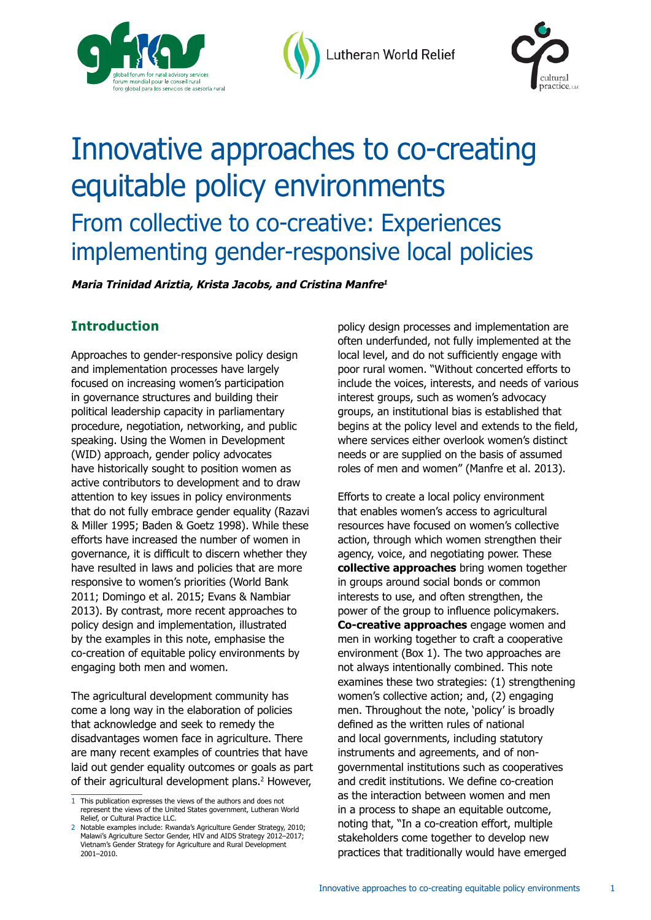

Lutheran World Relief



# Innovative approaches to co-creating equitable policy environments From collective to co-creative: Experiences implementing gender-responsive local policies

**Maria Trinidad Ariztia, Krista Jacobs, and Cristina Manfre<sup>1</sup>**

## **Introduction**

Approaches to gender-responsive policy design and implementation processes have largely focused on increasing women's participation in governance structures and building their political leadership capacity in parliamentary procedure, negotiation, networking, and public speaking. Using the Women in Development (WID) approach, gender policy advocates have historically sought to position women as active contributors to development and to draw attention to key issues in policy environments that do not fully embrace gender equality (Razavi & Miller 1995; Baden & Goetz 1998). While these efforts have increased the number of women in governance, it is difficult to discern whether they have resulted in laws and policies that are more responsive to women's priorities (World Bank 2011; Domingo et al. 2015; Evans & Nambiar 2013). By contrast, more recent approaches to policy design and implementation, illustrated by the examples in this note, emphasise the co-creation of equitable policy environments by engaging both men and women.

The agricultural development community has come a long way in the elaboration of policies that acknowledge and seek to remedy the disadvantages women face in agriculture. There are many recent examples of countries that have laid out gender equality outcomes or goals as part of their agricultural development plans.<sup>2</sup> However,

policy design processes and implementation are often underfunded, not fully implemented at the local level, and do not sufficiently engage with poor rural women. "Without concerted efforts to include the voices, interests, and needs of various interest groups, such as women's advocacy groups, an institutional bias is established that begins at the policy level and extends to the field, where services either overlook women's distinct needs or are supplied on the basis of assumed roles of men and women" (Manfre et al. 2013).

Efforts to create a local policy environment that enables women's access to agricultural resources have focused on women's collective action, through which women strengthen their agency, voice, and negotiating power. These **collective approaches** bring women together in groups around social bonds or common interests to use, and often strengthen, the power of the group to influence policymakers. **Co-creative approaches** engage women and men in working together to craft a cooperative environment (Box 1). The two approaches are not always intentionally combined. This note examines these two strategies: (1) strengthening women's collective action; and, (2) engaging men. Throughout the note, 'policy' is broadly defined as the written rules of national and local governments, including statutory instruments and agreements, and of nongovernmental institutions such as cooperatives and credit institutions. We define co-creation as the interaction between women and men in a process to shape an equitable outcome, noting that, "In a co-creation effort, multiple stakeholders come together to develop new practices that traditionally would have emerged

<sup>1</sup> This publication expresses the views of the authors and does not represent the views of the United States government, Lutheran World Relief, or Cultural Practice LLC.

<sup>2</sup> Notable examples include: Rwanda's Agriculture Gender Strategy, 2010; Malawi's Agriculture Sector Gender, HIV and AIDS Strategy 2012–2017; Vietnam's Gender Strategy for Agriculture and Rural Development 2001–2010.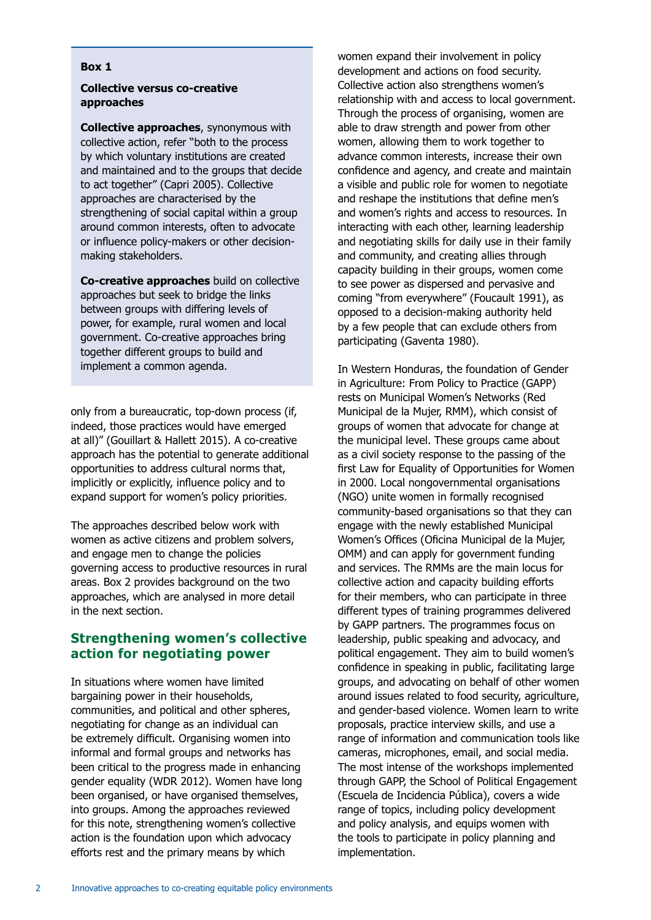#### **Box 1**

#### **Collective versus co-creative approaches**

**Collective approaches**, synonymous with collective action, refer "both to the process by which voluntary institutions are created and maintained and to the groups that decide to act together" (Capri 2005). Collective approaches are characterised by the strengthening of social capital within a group around common interests, often to advocate or influence policy-makers or other decisionmaking stakeholders.

**Co-creative approaches** build on collective approaches but seek to bridge the links between groups with differing levels of power, for example, rural women and local government. Co-creative approaches bring together different groups to build and implement a common agenda.

only from a bureaucratic, top-down process (if, indeed, those practices would have emerged at all)" (Gouillart & Hallett 2015). A co-creative approach has the potential to generate additional opportunities to address cultural norms that, implicitly or explicitly, influence policy and to expand support for women's policy priorities.

The approaches described below work with women as active citizens and problem solvers, and engage men to change the policies governing access to productive resources in rural areas. Box 2 provides background on the two approaches, which are analysed in more detail in the next section.

## **Strengthening women's collective action for negotiating power**

In situations where women have limited bargaining power in their households, communities, and political and other spheres, negotiating for change as an individual can be extremely difficult. Organising women into informal and formal groups and networks has been critical to the progress made in enhancing gender equality (WDR 2012). Women have long been organised, or have organised themselves, into groups. Among the approaches reviewed for this note, strengthening women's collective action is the foundation upon which advocacy efforts rest and the primary means by which

women expand their involvement in policy development and actions on food security. Collective action also strengthens women's relationship with and access to local government. Through the process of organising, women are able to draw strength and power from other women, allowing them to work together to advance common interests, increase their own confidence and agency, and create and maintain a visible and public role for women to negotiate and reshape the institutions that define men's and women's rights and access to resources. In interacting with each other, learning leadership and negotiating skills for daily use in their family and community, and creating allies through capacity building in their groups, women come to see power as dispersed and pervasive and coming "from everywhere" (Foucault 1991), as opposed to a decision-making authority held by a few people that can exclude others from participating (Gaventa 1980).

In Western Honduras, the foundation of Gender in Agriculture: From Policy to Practice (GAPP) rests on Municipal Women's Networks (Red Municipal de la Mujer, RMM), which consist of groups of women that advocate for change at the municipal level. These groups came about as a civil society response to the passing of the first Law for Equality of Opportunities for Women in 2000. Local nongovernmental organisations (NGO) unite women in formally recognised community-based organisations so that they can engage with the newly established Municipal Women's Offices (Oficina Municipal de la Mujer, OMM) and can apply for government funding and services. The RMMs are the main locus for collective action and capacity building efforts for their members, who can participate in three different types of training programmes delivered by GAPP partners. The programmes focus on leadership, public speaking and advocacy, and political engagement. They aim to build women's confidence in speaking in public, facilitating large groups, and advocating on behalf of other women around issues related to food security, agriculture, and gender-based violence. Women learn to write proposals, practice interview skills, and use a range of information and communication tools like cameras, microphones, email, and social media. The most intense of the workshops implemented through GAPP, the School of Political Engagement (Escuela de Incidencia Pública), covers a wide range of topics, including policy development and policy analysis, and equips women with the tools to participate in policy planning and implementation.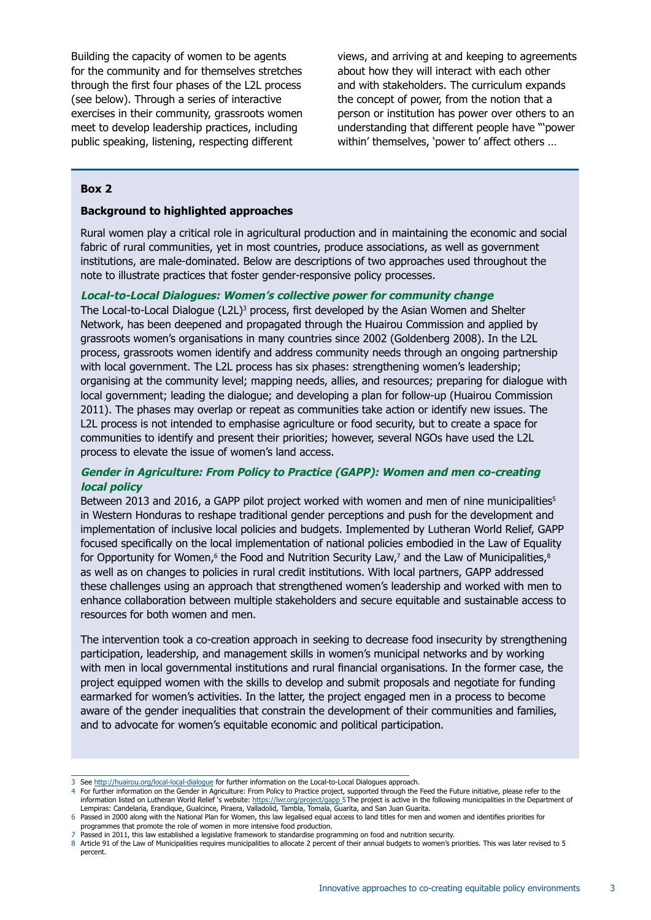Building the capacity of women to be agents for the community and for themselves stretches through the first four phases of the L2L process (see below). Through a series of interactive exercises in their community, grassroots women meet to develop leadership practices, including public speaking, listening, respecting different

views, and arriving at and keeping to agreements about how they will interact with each other and with stakeholders. The curriculum expands the concept of power, from the notion that a person or institution has power over others to an understanding that different people have "'power within' themselves, 'power to' affect others …

#### **Box 2**

#### **Background to highlighted approaches**

Rural women play a critical role in agricultural production and in maintaining the economic and social fabric of rural communities, yet in most countries, produce associations, as well as government institutions, are male-dominated. Below are descriptions of two approaches used throughout the note to illustrate practices that foster gender-responsive policy processes.

#### **Local-to-Local Dialogues: Women's collective power for community change**

The Local-to-Local Dialogue (L2L)<sup>3</sup> process, first developed by the Asian Women and Shelter Network, has been deepened and propagated through the Huairou Commission and applied by grassroots women's organisations in many countries since 2002 (Goldenberg 2008). In the L2L process, grassroots women identify and address community needs through an ongoing partnership with local government. The L2L process has six phases: strengthening women's leadership; organising at the community level; mapping needs, allies, and resources; preparing for dialogue with local government; leading the dialogue; and developing a plan for follow-up (Huairou Commission 2011). The phases may overlap or repeat as communities take action or identify new issues. The L2L process is not intended to emphasise agriculture or food security, but to create a space for communities to identify and present their priorities; however, several NGOs have used the L2L process to elevate the issue of women's land access.

#### **Gender in Agriculture: From Policy to Practice (GAPP): Women and men co-creating local policy**

Between 2013 and 2016, a GAPP pilot project worked with women and men of nine municipalities<sup>5</sup> in Western Honduras to reshape traditional gender perceptions and push for the development and implementation of inclusive local policies and budgets. Implemented by Lutheran World Relief, GAPP focused specifically on the local implementation of national policies embodied in the Law of Equality for Opportunity for Women,<sup>6</sup> the Food and Nutrition Security Law,<sup>7</sup> and the Law of Municipalities,<sup>8</sup> as well as on changes to policies in rural credit institutions. With local partners, GAPP addressed these challenges using an approach that strengthened women's leadership and worked with men to enhance collaboration between multiple stakeholders and secure equitable and sustainable access to resources for both women and men.

The intervention took a co-creation approach in seeking to decrease food insecurity by strengthening participation, leadership, and management skills in women's municipal networks and by working with men in local governmental institutions and rural financial organisations. In the former case, the project equipped women with the skills to develop and submit proposals and negotiate for funding earmarked for women's activities. In the latter, the project engaged men in a process to become aware of the gender inequalities that constrain the development of their communities and families, and to advocate for women's equitable economic and political participation.

<sup>3</sup> See http://huairou.org/local-local-dialogue for further information on the Local-to-Local Dialogues approach.

<sup>4</sup> For further information on the Gender in Agriculture: From Policy to Practice project, supported through the Feed the Future initiative, please refer to the information listed on Lutheran World Relief's website: https://lwr.org/project/gapp 5The project is active in the following municipalities in the Department of Lempiras: Candelaria, Erandique, Gualcince, Piraera, Valladolid, Tambla, Tomala, Guarita, and San Juan Guarita.

<sup>6</sup> Passed in 2000 along with the National Plan for Women, this law legalised equal access to land titles for men and women and identifies priorities for programmes that promote the role of women in more intensive food production.

<sup>7</sup> Passed in 2011, this law established a legislative framework to standardise programming on food and nutrition security.

<sup>8</sup> Article 91 of the Law of Municipalities requires municipalities to allocate 2 percent of their annual budgets to women's priorities. This was later revised to 5 percent.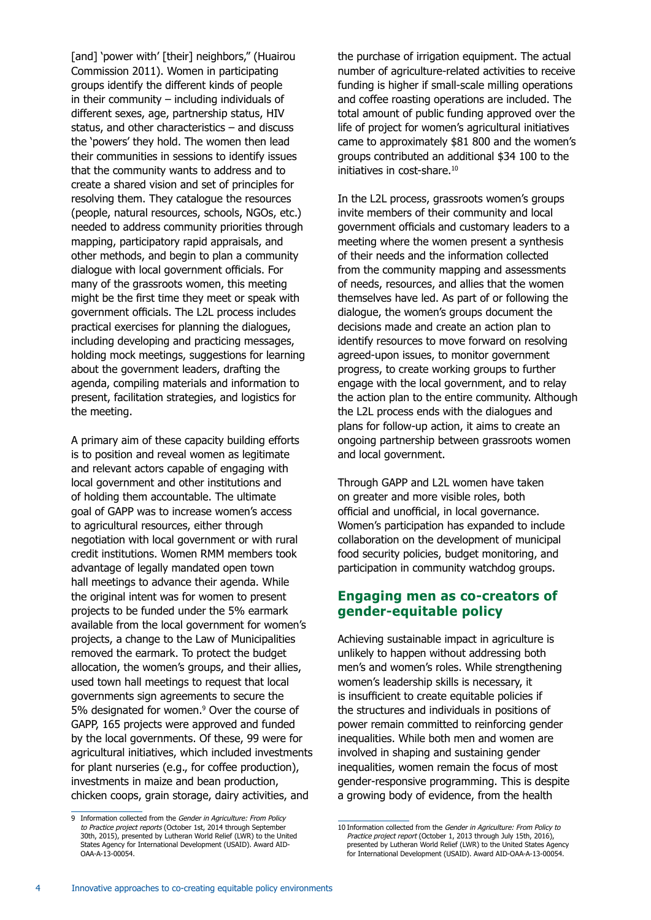[and] 'power with' [their] neighbors," (Huairou Commission 2011). Women in participating groups identify the different kinds of people in their community – including individuals of different sexes, age, partnership status, HIV status, and other characteristics – and discuss the 'powers' they hold. The women then lead their communities in sessions to identify issues that the community wants to address and to create a shared vision and set of principles for resolving them. They catalogue the resources (people, natural resources, schools, NGOs, etc.) needed to address community priorities through mapping, participatory rapid appraisals, and other methods, and begin to plan a community dialogue with local government officials. For many of the grassroots women, this meeting might be the first time they meet or speak with government officials. The L2L process includes practical exercises for planning the dialogues, including developing and practicing messages, holding mock meetings, suggestions for learning about the government leaders, drafting the agenda, compiling materials and information to present, facilitation strategies, and logistics for the meeting.

A primary aim of these capacity building efforts is to position and reveal women as legitimate and relevant actors capable of engaging with local government and other institutions and of holding them accountable. The ultimate goal of GAPP was to increase women's access to agricultural resources, either through negotiation with local government or with rural credit institutions. Women RMM members took advantage of legally mandated open town hall meetings to advance their agenda. While the original intent was for women to present projects to be funded under the 5% earmark available from the local government for women's projects, a change to the Law of Municipalities removed the earmark. To protect the budget allocation, the women's groups, and their allies, used town hall meetings to request that local governments sign agreements to secure the 5% designated for women.<sup>9</sup> Over the course of GAPP, 165 projects were approved and funded by the local governments. Of these, 99 were for agricultural initiatives, which included investments for plant nurseries (e.g., for coffee production), investments in maize and bean production, chicken coops, grain storage, dairy activities, and

9 Information collected from the Gender in Agriculture: From Policy to Practice project reports (October 1st, 2014 through September 30th, 2015), presented by Lutheran World Relief (LWR) to the United States Agency for International Development (USAID). Award AID-OAA-A-13-00054.

the purchase of irrigation equipment. The actual number of agriculture-related activities to receive funding is higher if small-scale milling operations and coffee roasting operations are included. The total amount of public funding approved over the life of project for women's agricultural initiatives came to approximately \$81 800 and the women's groups contributed an additional \$34 100 to the initiatives in cost-share.<sup>10</sup>

In the L2L process, grassroots women's groups invite members of their community and local government officials and customary leaders to a meeting where the women present a synthesis of their needs and the information collected from the community mapping and assessments of needs, resources, and allies that the women themselves have led. As part of or following the dialogue, the women's groups document the decisions made and create an action plan to identify resources to move forward on resolving agreed-upon issues, to monitor government progress, to create working groups to further engage with the local government, and to relay the action plan to the entire community. Although the L2L process ends with the dialogues and plans for follow-up action, it aims to create an ongoing partnership between grassroots women and local government.

Through GAPP and L2L women have taken on greater and more visible roles, both official and unofficial, in local governance. Women's participation has expanded to include collaboration on the development of municipal food security policies, budget monitoring, and participation in community watchdog groups.

## **Engaging men as co-creators of gender-equitable policy**

Achieving sustainable impact in agriculture is unlikely to happen without addressing both men's and women's roles. While strengthening women's leadership skills is necessary, it is insufficient to create equitable policies if the structures and individuals in positions of power remain committed to reinforcing gender inequalities. While both men and women are involved in shaping and sustaining gender inequalities, women remain the focus of most gender-responsive programming. This is despite a growing body of evidence, from the health

<sup>10</sup> Information collected from the Gender in Agriculture: From Policy to Practice project report (October 1, 2013 through July 15th, 2016), presented by Lutheran World Relief (LWR) to the United States Agency for International Development (USAID). Award AID-OAA-A-13-00054.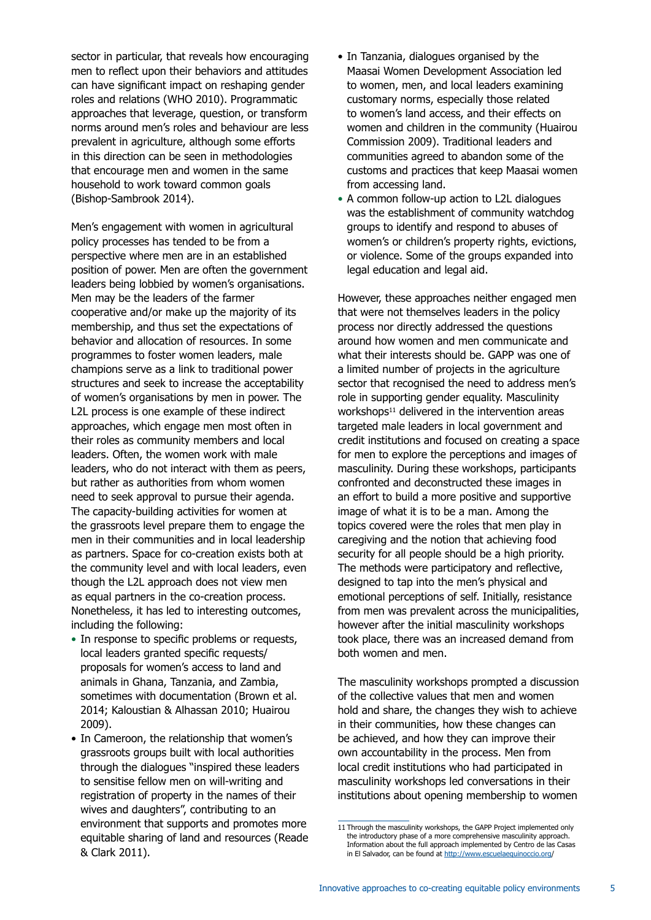sector in particular, that reveals how encouraging men to reflect upon their behaviors and attitudes can have significant impact on reshaping gender roles and relations (WHO 2010). Programmatic approaches that leverage, question, or transform norms around men's roles and behaviour are less prevalent in agriculture, although some efforts in this direction can be seen in methodologies that encourage men and women in the same household to work toward common goals (Bishop-Sambrook 2014).

Men's engagement with women in agricultural policy processes has tended to be from a perspective where men are in an established position of power. Men are often the government leaders being lobbied by women's organisations. Men may be the leaders of the farmer cooperative and/or make up the majority of its membership, and thus set the expectations of behavior and allocation of resources. In some programmes to foster women leaders, male champions serve as a link to traditional power structures and seek to increase the acceptability of women's organisations by men in power. The L2L process is one example of these indirect approaches, which engage men most often in their roles as community members and local leaders. Often, the women work with male leaders, who do not interact with them as peers, but rather as authorities from whom women need to seek approval to pursue their agenda. The capacity-building activities for women at the grassroots level prepare them to engage the men in their communities and in local leadership as partners. Space for co-creation exists both at the community level and with local leaders, even though the L2L approach does not view men as equal partners in the co-creation process. Nonetheless, it has led to interesting outcomes, including the following:

- In response to specific problems or requests, local leaders granted specific requests/ proposals for women's access to land and animals in Ghana, Tanzania, and Zambia, sometimes with documentation (Brown et al. 2014; Kaloustian & Alhassan 2010; Huairou 2009).
- In Cameroon, the relationship that women's grassroots groups built with local authorities through the dialogues "inspired these leaders to sensitise fellow men on will-writing and registration of property in the names of their wives and daughters", contributing to an environment that supports and promotes more equitable sharing of land and resources (Reade & Clark 2011).
- In Tanzania, dialogues organised by the Maasai Women Development Association led to women, men, and local leaders examining customary norms, especially those related to women's land access, and their effects on women and children in the community (Huairou Commission 2009). Traditional leaders and communities agreed to abandon some of the customs and practices that keep Maasai women from accessing land.
- A common follow-up action to L2L dialogues was the establishment of community watchdog groups to identify and respond to abuses of women's or children's property rights, evictions, or violence. Some of the groups expanded into legal education and legal aid.

However, these approaches neither engaged men that were not themselves leaders in the policy process nor directly addressed the questions around how women and men communicate and what their interests should be. GAPP was one of a limited number of projects in the agriculture sector that recognised the need to address men's role in supporting gender equality. Masculinity  $work$ shops $<sup>11</sup>$  delivered in the intervention areas</sup> targeted male leaders in local government and credit institutions and focused on creating a space for men to explore the perceptions and images of masculinity. During these workshops, participants confronted and deconstructed these images in an effort to build a more positive and supportive image of what it is to be a man. Among the topics covered were the roles that men play in caregiving and the notion that achieving food security for all people should be a high priority. The methods were participatory and reflective, designed to tap into the men's physical and emotional perceptions of self. Initially, resistance from men was prevalent across the municipalities, however after the initial masculinity workshops took place, there was an increased demand from both women and men.

The masculinity workshops prompted a discussion of the collective values that men and women hold and share, the changes they wish to achieve in their communities, how these changes can be achieved, and how they can improve their own accountability in the process. Men from local credit institutions who had participated in masculinity workshops led conversations in their institutions about opening membership to women

<sup>11</sup> Through the masculinity workshops, the GAPP Project implemented only the introductory phase of a more comprehensive masculinity approach. Information about the full approach implemented by Centro de las Casas in El Salvador, can be found at http://www.escuelaequinoccio.org/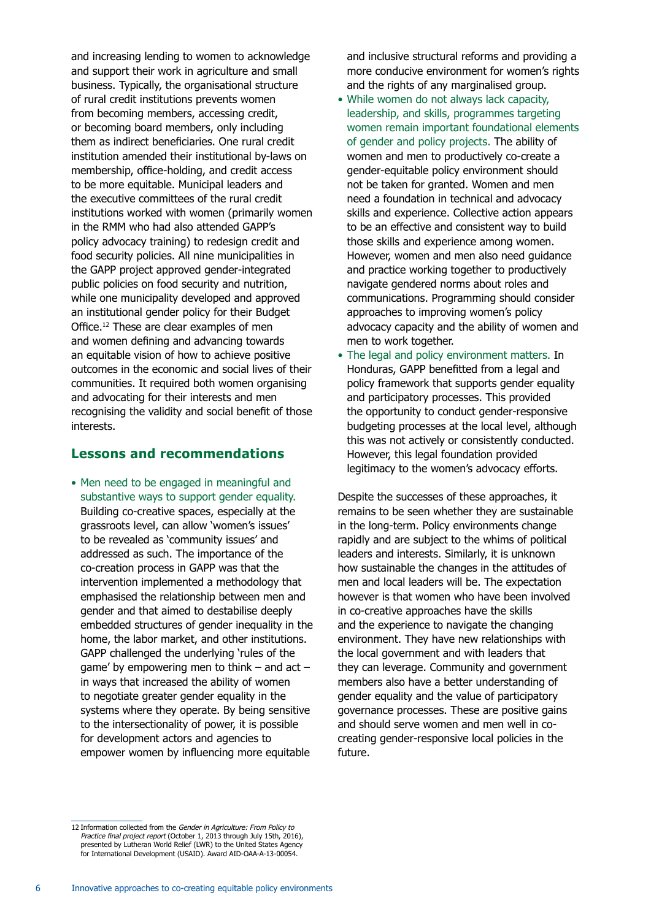and increasing lending to women to acknowledge and support their work in agriculture and small business. Typically, the organisational structure of rural credit institutions prevents women from becoming members, accessing credit, or becoming board members, only including them as indirect beneficiaries. One rural credit institution amended their institutional by-laws on membership, office-holding, and credit access to be more equitable. Municipal leaders and the executive committees of the rural credit institutions worked with women (primarily women in the RMM who had also attended GAPP's policy advocacy training) to redesign credit and food security policies. All nine municipalities in the GAPP project approved gender-integrated public policies on food security and nutrition, while one municipality developed and approved an institutional gender policy for their Budget Office.12 These are clear examples of men and women defining and advancing towards an equitable vision of how to achieve positive outcomes in the economic and social lives of their communities. It required both women organising and advocating for their interests and men recognising the validity and social benefit of those interests.

### **Lessons and recommendations**

• Men need to be engaged in meaningful and substantive ways to support gender equality. Building co-creative spaces, especially at the grassroots level, can allow 'women's issues' to be revealed as 'community issues' and addressed as such. The importance of the co-creation process in GAPP was that the intervention implemented a methodology that emphasised the relationship between men and gender and that aimed to destabilise deeply embedded structures of gender inequality in the home, the labor market, and other institutions. GAPP challenged the underlying 'rules of the game' by empowering men to think – and act – in ways that increased the ability of women to negotiate greater gender equality in the systems where they operate. By being sensitive to the intersectionality of power, it is possible for development actors and agencies to empower women by influencing more equitable

and inclusive structural reforms and providing a more conducive environment for women's rights and the rights of any marginalised group.

- While women do not always lack capacity, leadership, and skills, programmes targeting women remain important foundational elements of gender and policy projects. The ability of women and men to productively co-create a gender-equitable policy environment should not be taken for granted. Women and men need a foundation in technical and advocacy skills and experience. Collective action appears to be an effective and consistent way to build those skills and experience among women. However, women and men also need guidance and practice working together to productively navigate gendered norms about roles and communications. Programming should consider approaches to improving women's policy advocacy capacity and the ability of women and men to work together.
- The legal and policy environment matters. In Honduras, GAPP benefitted from a legal and policy framework that supports gender equality and participatory processes. This provided the opportunity to conduct gender-responsive budgeting processes at the local level, although this was not actively or consistently conducted. However, this legal foundation provided legitimacy to the women's advocacy efforts.

Despite the successes of these approaches, it remains to be seen whether they are sustainable in the long-term. Policy environments change rapidly and are subject to the whims of political leaders and interests. Similarly, it is unknown how sustainable the changes in the attitudes of men and local leaders will be. The expectation however is that women who have been involved in co-creative approaches have the skills and the experience to navigate the changing environment. They have new relationships with the local government and with leaders that they can leverage. Community and government members also have a better understanding of gender equality and the value of participatory governance processes. These are positive gains and should serve women and men well in cocreating gender-responsive local policies in the future.

<sup>12</sup> Information collected from the Gender in Agriculture: From Policy to Practice final project report (October 1, 2013 through July 15th, 2016),<br>presented by Lutheran World Relief (LWR) to the United States Agency for International Development (USAID). Award AID-OAA-A-13-00054.